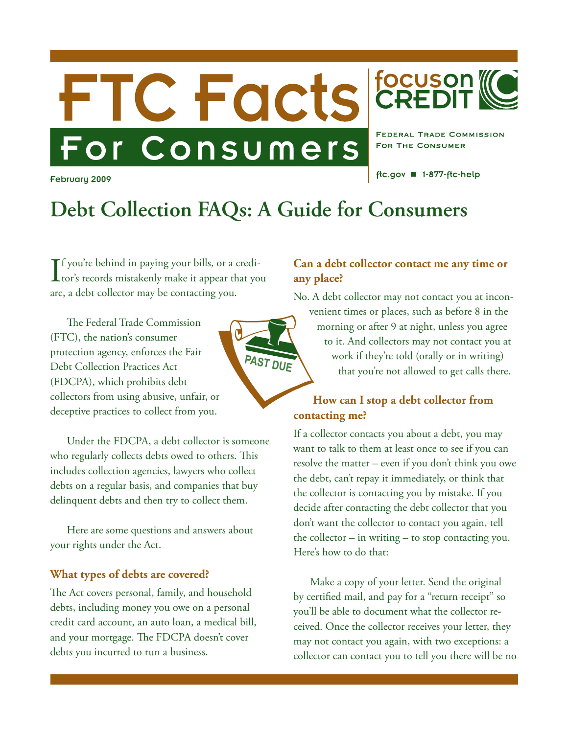# FTC Facts For Consumers



**FEDERAL TRADE COMMISSION FOR THE CONSUMER** 

ftc.gov ■ 1-877-ftc-help

February 2009

# **Debt Collection FAQs: A Guide for Consumers**

If you're behind in paying your bills, or a credi-<br>tor's records mistakenly make it appear that you f you're behind in paying your bills, or a crediare, a debt collector may be contacting you.

The Federal Trade Commission (FTC), the nation's consumer protection agency, enforces the Fair Debt Collection Practices Act (FDCPA), which prohibits debt collectors from using abusive, unfair, or deceptive practices to collect from you.

Under the FDCPA, a debt collector is someone who regularly collects debts owed to others. This includes collection agencies, lawyers who collect debts on a regular basis, and companies that buy delinquent debts and then try to collect them.

Here are some questions and answers about your rights under the Act.

#### **What types of debts are covered?**

The Act covers personal, family, and household debts, including money you owe on a personal credit card account, an auto loan, a medical bill, and your mortgage. The FDCPA doesn't cover debts you incurred to run a business.

#### **Can a debt collector contact me any time or any place?**

No. A debt collector may not contact you at inconvenient times or places, such as before 8 in the morning or after 9 at night, unless you agree to it. And collectors may not contact you at work if they're told (orally or in writing) that you're not allowed to get calls there.

## **How can I stop a debt collector from contacting me?**

If a collector contacts you about a debt, you may want to talk to them at least once to see if you can resolve the matter – even if you don't think you owe the debt, can't repay it immediately, or think that the collector is contacting you by mistake. If you decide after contacting the debt collector that you don't want the collector to contact you again, tell the collector – in writing – to stop contacting you. Here's how to do that:

Make a copy of your letter. Send the original by certified mail, and pay for a "return receipt" so you'll be able to document what the collector received. Once the collector receives your letter, they may not contact you again, with two exceptions: a collector can contact you to tell you there will be no

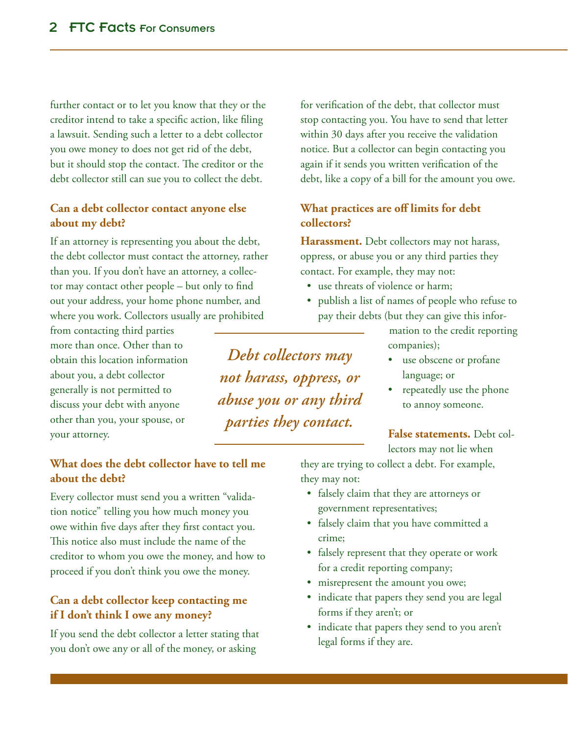further contact or to let you know that they or the creditor intend to take a specific action, like filing a lawsuit. Sending such a letter to a debt collector you owe money to does not get rid of the debt, but it should stop the contact. The creditor or the debt collector still can sue you to collect the debt.

#### **Can a debt collector contact anyone else about my debt?**

If an attorney is representing you about the debt, the debt collector must contact the attorney, rather than you. If you don't have an attorney, a collector may contact other people – but only to find out your address, your home phone number, and where you work. Collectors usually are prohibited

from contacting third parties more than once. Other than to obtain this location information about you, a debt collector generally is not permitted to discuss your debt with anyone other than you, your spouse, or your attorney.

## **What does the debt collector have to tell me about the debt?**

Every collector must send you a written "validation notice" telling you how much money you owe within five days after they first contact you. This notice also must include the name of the creditor to whom you owe the money, and how to proceed if you don't think you owe the money.

## **Can a debt collector keep contacting me if I don't think I owe any money?**

If you send the debt collector a letter stating that you don't owe any or all of the money, or asking

for verification of the debt, that collector must stop contacting you. You have to send that letter within 30 days after you receive the validation notice. But a collector can begin contacting you again if it sends you written verification of the debt, like a copy of a bill for the amount you owe.

# **What practices are off limits for debt collectors?**

**Harassment.** Debt collectors may not harass, oppress, or abuse you or any third parties they contact. For example, they may not:

- use threats of violence or harm;
- • publish a list of names of people who refuse to pay their debts (but they can give this infor-

mation to the credit reporting companies);

- use obscene or profane language; or
- repeatedly use the phone to annoy someone.

#### **False statements.** Debt col-

lectors may not lie when

they are trying to collect a debt. For example, they may not:

- • falsely claim that they are attorneys or government representatives;
- falsely claim that you have committed a crime;
- falsely represent that they operate or work for a credit reporting company;
- misrepresent the amount you owe;
- indicate that papers they send you are legal forms if they aren't; or
- indicate that papers they send to you aren't legal forms if they are.

*Debt collectors may not harass, oppress, or abuse you or any third parties they contact.*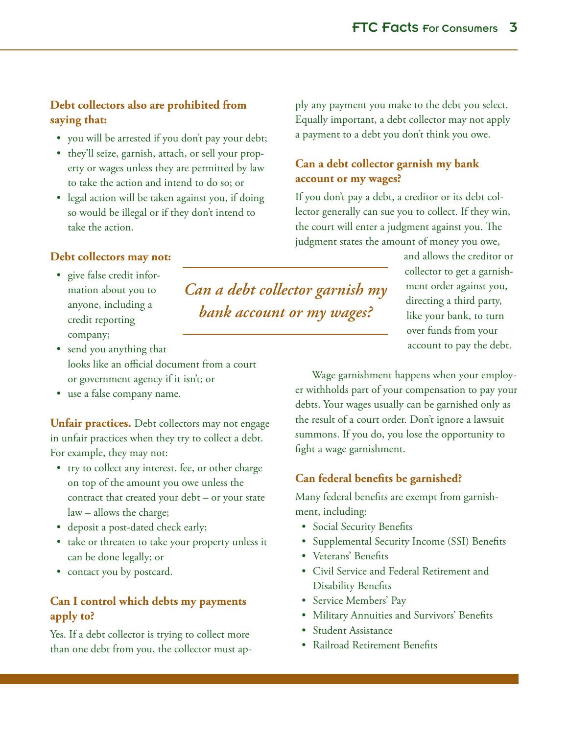# **Debt collectors also are prohibited from saying that:**

- • you will be arrested if you don't pay your debt;
- they'll seize, garnish, attach, or sell your property or wages unless they are permitted by law to take the action and intend to do so; or
- legal action will be taken against you, if doing so would be illegal or if they don't intend to take the action.

#### **Debt collectors may not:**

- • give false credit information about you to anyone, including a credit reporting company;
- send you anything that looks like an official document from a court or government agency if it isn't; or
- use a false company name.

**Unfair practices.** Debt collectors may not engage in unfair practices when they try to collect a debt. For example, they may not:

- • try to collect any interest, fee, or other charge on top of the amount you owe unless the contract that created your debt – or your state law – allows the charge;
- deposit a post-dated check early;
- take or threaten to take your property unless it can be done legally; or
- contact you by postcard.

## **Can I control which debts my payments apply to?**

Yes. If a debt collector is trying to collect more than one debt from you, the collector must apply any payment you make to the debt you select. Equally important, a debt collector may not apply a payment to a debt you don't think you owe.

#### **Can a debt collector garnish my bank account or my wages?**

If you don't pay a debt, a creditor or its debt collector generally can sue you to collect. If they win, the court will enter a judgment against you. The judgment states the amount of money you owe,

> and allows the creditor or collector to get a garnishment order against you, directing a third party, like your bank, to turn over funds from your account to pay the debt.

Wage garnishment happens when your employer withholds part of your compensation to pay your debts. Your wages usually can be garnished only as the result of a court order. Don't ignore a lawsuit summons. If you do, you lose the opportunity to fight a wage garnishment.

#### **Can federal benefits be garnished?**

Many federal benefits are exempt from garnishment, including:

- Social Security Benefits
- Supplemental Security Income (SSI) Benefits
- • Veterans' Benefits

*Can a debt collector garnish my* 

*bank account or my wages?*

- • Civil Service and Federal Retirement and Disability Benefits
- • Service Members' Pay
- • Military Annuities and Survivors' Benefits
- **Student Assistance**
- **Railroad Retirement Benefits**